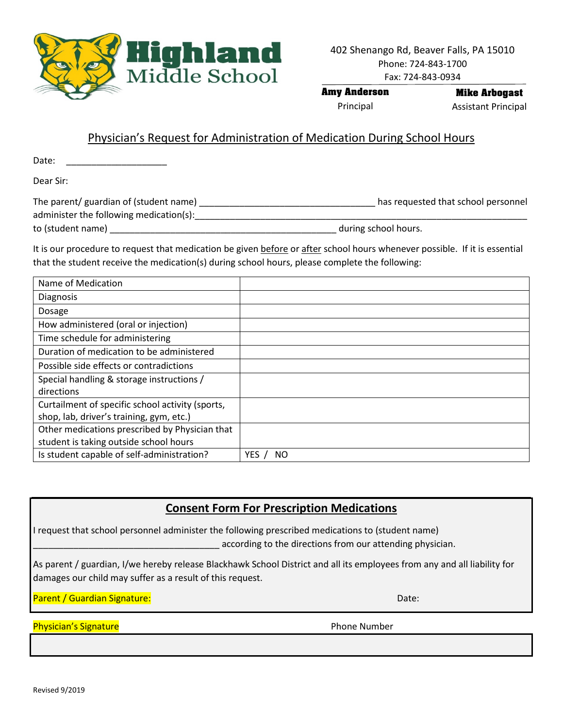

**Amy Anderson** Principal

**Mike Arbogast** Assistant Principal

## Physician's Request for Administration of Medication During School Hours

Date:

Dear Sir:

| The parent/ guardian of (student name)  | has requested that school personnel |
|-----------------------------------------|-------------------------------------|
| administer the following medication(s): |                                     |
| to (student name)                       | during school hours.                |

It is our procedure to request that medication be given before or after school hours whenever possible. If it is essential that the student receive the medication(s) during school hours, please complete the following:

| Name of Medication                               |             |
|--------------------------------------------------|-------------|
| <b>Diagnosis</b>                                 |             |
| Dosage                                           |             |
| How administered (oral or injection)             |             |
| Time schedule for administering                  |             |
| Duration of medication to be administered        |             |
| Possible side effects or contradictions          |             |
| Special handling & storage instructions /        |             |
| directions                                       |             |
| Curtailment of specific school activity (sports, |             |
| shop, lab, driver's training, gym, etc.)         |             |
| Other medications prescribed by Physician that   |             |
| student is taking outside school hours           |             |
| Is student capable of self-administration?       | YES.<br>NO. |

## **Consent Form For Prescription Medications**

I request that school personnel administer the following prescribed medications to (student name) according to the directions from our attending physician.

As parent / guardian, I/we hereby release Blackhawk School District and all its employees from any and all liability for damages our child may suffer as a result of this request.

Parent / Guardian Signature: Date: Date: Date: Date: Date: Date: Date: Date: Date: Date: Date: Date: Date: Date: Date: Date: Date: Date: Date: Date: Date: Date: Date: Date: Date: Date: Date: Date: Date: Date: Date: Date: D

Physician's Signature **Physician's Signature Phone Number**